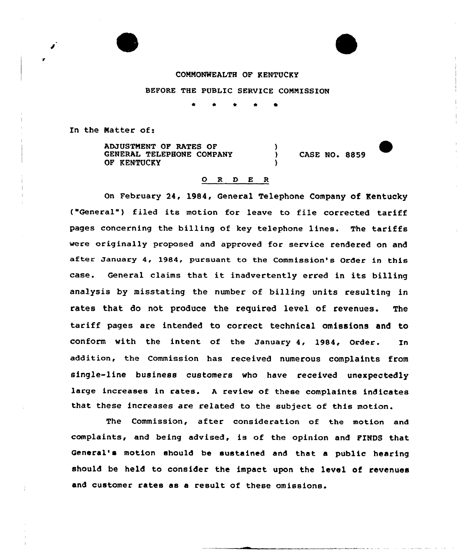## COMMONWEALTH OF KENTUCKY

BEFORE THE PUBLIC SERVICE COMMISSION

\* \* \* <sup>4</sup> 0

In the Natter of:

ADJUSTMENT OF RATES OF GENERAL TELEPHONE COMPANY OP KENTUCKY ) )

) CASE NO. 8859

## 0 <sup>R</sup> <sup>D</sup> E <sup>R</sup>

On February 24, 1984, General Telephone Company of Kentucky ("General") filed its motion for leave to file corrected tariff pages concerning the billing of key telephone lines. The tariffs were originally proposed and approved for service rendered on and after January 4, 1984, pursuant to the Commission's Order in this case. General claims that it inadvertently erred in its billing analysis by misstating the number of billing units resulting in rates that do not produce the required level of revenues. The tariff pages are intended to correct technical omissions and to conform with the intent of the January 4, 1984, Order. In addition, the Commission has received numerous complaints from single-line business customers who have received unexpectedly large increases in rates. <sup>A</sup> review of these complaints indicates that these increases are related to the subject of this motion.

The Commission, after consideration of the motion and complaints, and being advised, is of the opinion and FINDS that Qenera1' motion shou1d be sustained and that a public hearing should be held to consider the impact upon the level of revenues and customer rates as a result of these omissions.